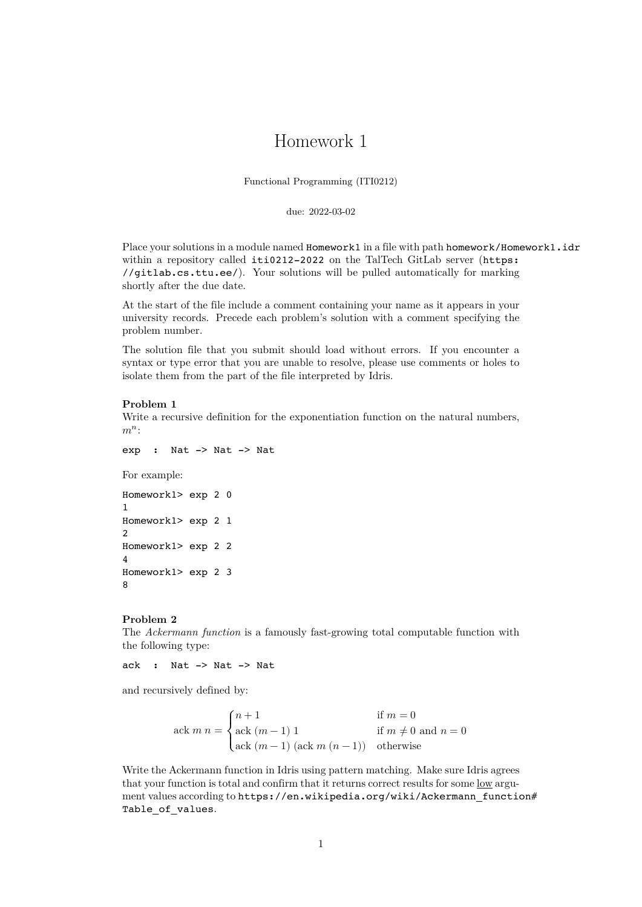# Homework 1

Functional Programming (ITI0212)

due: 2022-03-02

Place your solutions in a module named **Homework1** in a file with path homework/Homework1.idr within a repository called iti0212-2022 on the TalTech GitLab server (https: //gitlab.cs.ttu.ee/). Your solutions will be pulled automatically for marking shortly after the due date.

At the start of the file include a comment containing your name as it appears in your university records. Precede each problem's solution with a comment specif[ying the](https://gitlab.cs.ttu.ee/) [problem number.](https://gitlab.cs.ttu.ee/)

The solution file that you submit should load without errors. If you encounter a syntax or type error that you are unable to resolve, please use comments or holes to isolate them from the part of the file interpreted by Idris.

# **Problem 1**

Write a recursive definition for the exponentiation function on the natural numbers,  $m^n$ :

exp : Nat -> Nat -> Nat

For example:

```
Homework1> exp 2 0
1
Homework1> exp 2 1
2
Homework1> exp 2 2
4
Homework1> exp 2 3
8
```
#### **Problem 2**

The *Ackermann function* is a famously fast-growing total computable function with the following type:

ack : Nat -> Nat -> Nat

and recursively defined by:

$$
\label{eq:1} \text{ack } m \; n = \begin{cases} n+1 & \text{if } m=0 \\ \text{ack } (m-1) \; 1 & \text{if } m\neq 0 \text{ and } n=0 \\ \text{ack } (m-1) \; (\text{ack } m \; (n-1)) & \text{otherwise} \end{cases}
$$

Write the Ackermann function in Idris using pattern matching. Make sure Idris agrees that your function is total and confirm that it returns correct results for some low argument values according to https://en.wikipedia.org/wiki/Ackermann\_function# Table of values.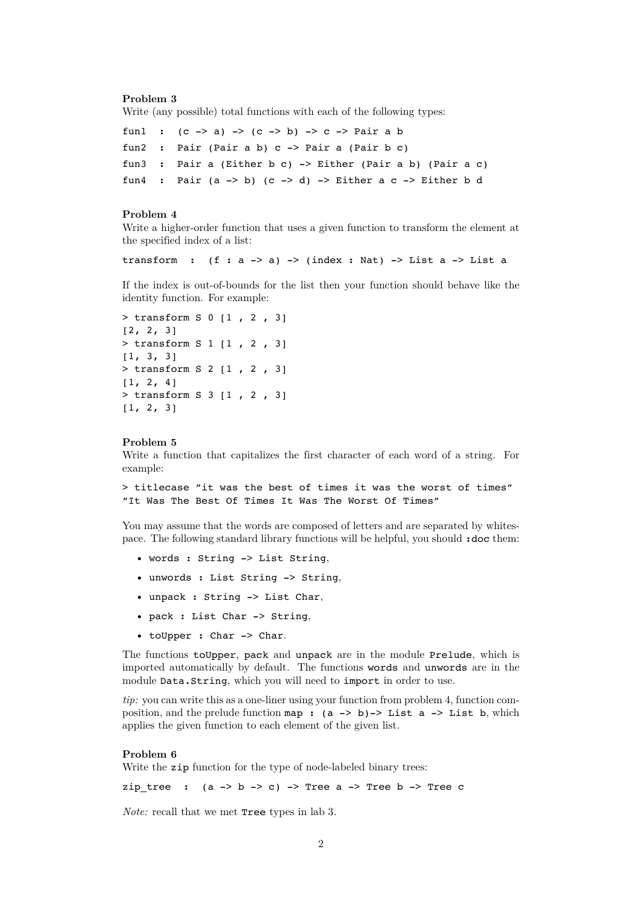#### **Problem 3**

Write (any possible) total functions with each of the following types:

```
fun1 : (c -> a) -> (c -> b) -> c -> Pair a bfun2 : Pair (Pair a b) c -> Pair a (Pair b c)
fun3 : Pair a (Either b c) -> Either (Pair a b) (Pair a c)
fun4 : Pair (a \rightarrow b) (c \rightarrow d) \rightarrow Either a c -> Either b d
```
### **Problem 4**

Write a higher-order function that uses a given function to transform the element at the specified index of a list:

transform :  $(f : a \rightarrow a) \rightarrow (index : Nat) \rightarrow List a \rightarrow List a$ 

If the index is out-of-bounds for the list then your function should behave like the identity function. For example:

```
> transform S 0 [1 , 2 , 3]
[2, 2, 3]
> transform S 1 [1 , 2 , 3]
[1, 3, 3]
> transform S 2 [1 , 2 , 3]
[1, 2, 4]> transform S 3 [1 , 2 , 3]
[1, 2, 3]
```
#### **Problem 5**

Write a function that capitalizes the first character of each word of a string. For example:

> titlecase "it was the best of times it was the worst of times" "It Was The Best Of Times It Was The Worst Of Times"

You may assume that the words are composed of letters and are separated by whitespace. The following standard library functions will be helpful, you should :doc them:

- words : String -> List String,
- unwords : List String -> String,
- unpack : String -> List Char,
- pack : List Char -> String,
- toUpper : Char -> Char.

The functions toUpper, pack and unpack are in the module Prelude, which is imported automatically by default. The functions words and unwords are in the module Data.String, which you will need to import in order to use.

*tip:* you can write this as a one-liner using your function from problem 4, function composition, and the prelude function map :  $(a \rightarrow b)$  -> List a -> List b, which applies the given function to each element of the given list.

## **Problem 6**

Write the zip function for the type of node-labeled binary trees:

zip tree :  $(a \rightarrow b \rightarrow c)$  -> Tree a -> Tree b -> Tree c

*Note:* recall that we met **Tree** types in lab 3.